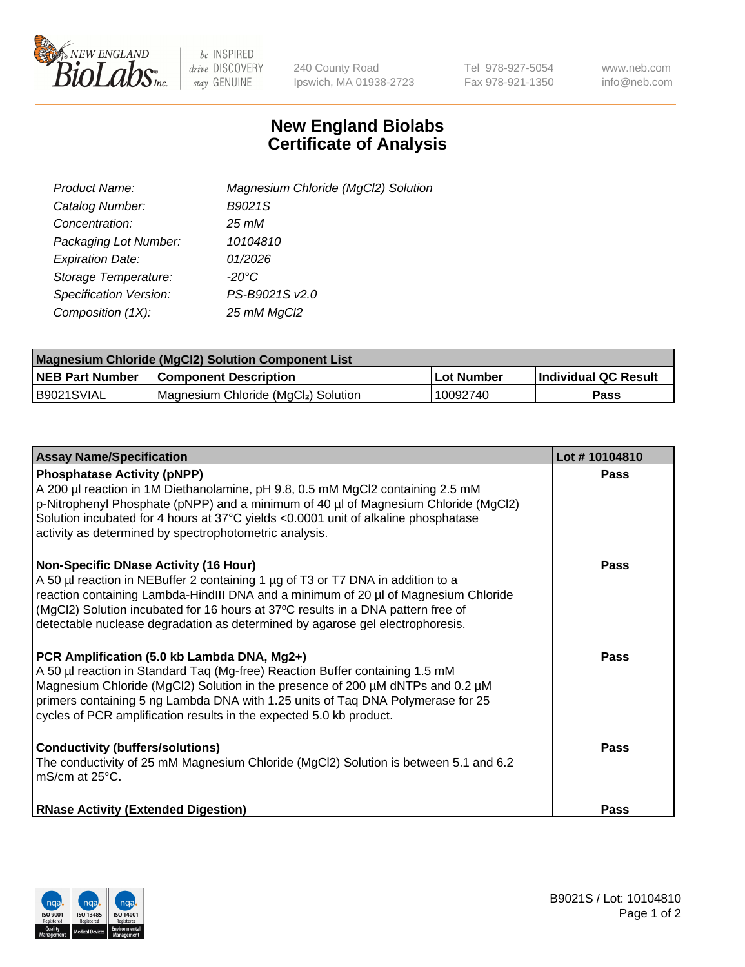

 $be$  INSPIRED drive DISCOVERY stay GENUINE

240 County Road Ipswich, MA 01938-2723 Tel 978-927-5054 Fax 978-921-1350 www.neb.com info@neb.com

## **New England Biolabs Certificate of Analysis**

| Product Name:                 | Magnesium Chloride (MgCl2) Solution |
|-------------------------------|-------------------------------------|
| Catalog Number:               | B9021S                              |
| Concentration:                | 25 mM                               |
| Packaging Lot Number:         | 10104810                            |
| <b>Expiration Date:</b>       | 01/2026                             |
| Storage Temperature:          | $-20^{\circ}$ C                     |
| <b>Specification Version:</b> | PS-B9021S v2.0                      |
| Composition (1X):             | 25 mM MgCl2                         |

| <b>Magnesium Chloride (MgCl2) Solution Component List</b> |                                     |            |                      |  |  |
|-----------------------------------------------------------|-------------------------------------|------------|----------------------|--|--|
| <b>NEB Part Number</b>                                    | <b>Component Description</b>        | Lot Number | Individual QC Result |  |  |
| IB9021SVIAL                                               | Magnesium Chloride (MgCl2) Solution | 10092740   | Pass                 |  |  |

| <b>Assay Name/Specification</b>                                                                                                                                                                                                                                                                                                                                                      | Lot #10104810 |
|--------------------------------------------------------------------------------------------------------------------------------------------------------------------------------------------------------------------------------------------------------------------------------------------------------------------------------------------------------------------------------------|---------------|
| <b>Phosphatase Activity (pNPP)</b><br>A 200 µl reaction in 1M Diethanolamine, pH 9.8, 0.5 mM MgCl2 containing 2.5 mM<br>p-Nitrophenyl Phosphate (pNPP) and a minimum of 40 µl of Magnesium Chloride (MgCl2)<br>Solution incubated for 4 hours at 37°C yields <0.0001 unit of alkaline phosphatase<br>activity as determined by spectrophotometric analysis.                          | <b>Pass</b>   |
| Non-Specific DNase Activity (16 Hour)<br>A 50 µl reaction in NEBuffer 2 containing 1 µg of T3 or T7 DNA in addition to a<br>reaction containing Lambda-HindIII DNA and a minimum of 20 µl of Magnesium Chloride<br>(MgCl2) Solution incubated for 16 hours at 37°C results in a DNA pattern free of<br>detectable nuclease degradation as determined by agarose gel electrophoresis. | Pass          |
| PCR Amplification (5.0 kb Lambda DNA, Mg2+)<br>A 50 µl reaction in Standard Taq (Mg-free) Reaction Buffer containing 1.5 mM<br>Magnesium Chloride (MgCl2) Solution in the presence of 200 µM dNTPs and 0.2 µM<br>primers containing 5 ng Lambda DNA with 1.25 units of Tag DNA Polymerase for 25<br>cycles of PCR amplification results in the expected 5.0 kb product.              | <b>Pass</b>   |
| <b>Conductivity (buffers/solutions)</b><br>The conductivity of 25 mM Magnesium Chloride (MgCl2) Solution is between 5.1 and 6.2<br>mS/cm at 25°C.                                                                                                                                                                                                                                    | Pass          |
| <b>RNase Activity (Extended Digestion)</b>                                                                                                                                                                                                                                                                                                                                           | <b>Pass</b>   |